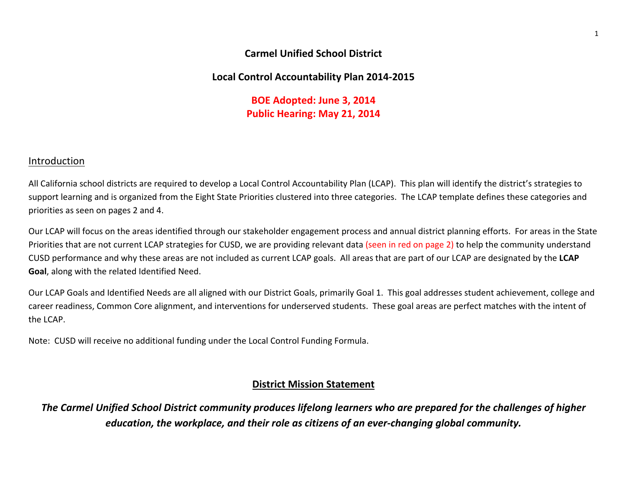### **Carmel Unified School District**

## **Local Control Accountability Plan 2014‐2015**

**BOE Adopted: June 3, 2014 Public Hearing: May 21, 2014**

### Introduction

All California school districts are required to develop <sup>a</sup> Local Control Accountability Plan (LCAP). This plan will identify the district's strategies to support learning and is organized from the Eight State Priorities clustered into three categories. The LCAP template defines these categories and priorities as seen on pages 2 and 4.

Our LCAP will focus on the areas identified through our stakeholder engagement process and annual district planning efforts. For areas in the State Priorities that are not current LCAP strategies for CUSD, we are providing relevant data (seen in red on page 2) to help the community understand CUSD performance and why these areas are not included as current LCAP goals. All areas that are part of our LCAP are designated by the **LCAP Goal**, along with the related Identified Need.

Our LCAP Goals and Identified Needs are all aligned with our District Goals, primarily Goal 1. This goal addresses student achievement, college and career readiness, Common Core alignment, and interventions for underserved students. These goal areas are perfect matches with the intent of the LCAP.

Note: CUSD will receive no additional funding under the Local Control Funding Formula.

## **District Mission Statement**

The Carmel Unified School District community produces lifelong learners who are prepared for the challenges of higher *education, the workplace, and their role as citizens of an ever‐changing global community.*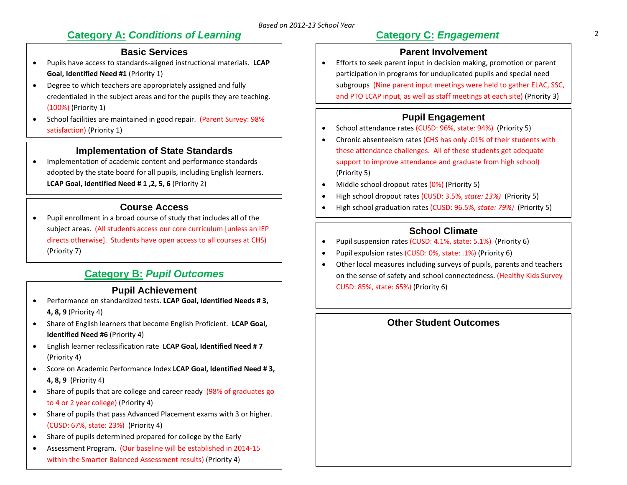# **Category A: Conditions of Learning Category C: Engagement** 2

# **Basic Services**

- . Pupils have access to standards‐aligned instructional materials. **LCAP Goal, Identified Need #1** (Priority 1)
- $\bullet$  Degree to which teachers are appropriately assigned and fully credentialed in the subject areas and for the pupils they are teaching. (100%) (Priority 1)
- $\bullet$ • School facilities are maintained in good repair. (Parent Survey: 98% satisfaction) (Priority 1)

### **Implementation of State Standards**

. Implementation of academic content and performance standards adopted by the state board for all pupils, including English learners. **LCAP Goal, Identified Need # 1 ,2, 5, 6** (Priority 2)

## **Course Access**

 $\bullet$  Pupil enrollment in <sup>a</sup> broad course of study that includes all of the subject areas. (All students access our core curriculum [unless an IEP directs otherwise]. Students have open access to all courses at CHS) (Priority 7)

# **Category B:** *Pupil Outcomes*

### **Pupil Achievement**

- $\bullet$  Performance on standardized tests. **LCAP Goal, Identified Needs # 3, 4, 8, 9** (Priority 4)
- $\bullet$  Share of English learners that become English Proficient. **LCAP Goal, Identified Need #6** (Priority 4)
- $\bullet$  English learner reclassification rate **LCAP Goal, Identified Need # 7** (Priority 4)
- Score on Academic Performance Index **LCAP Goal, Identified Need # 3, 4, 8, 9** (Priority 4)
- $\bullet$ • Share of pupils that are college and career ready (98% of graduates go to 4 or 2 year college) (Priority 4)
- $\bullet$  Share of pupils that pass Advanced Placement exams with 3 or higher. (CUSD: 67%, state: 23%) (Priority 4)
- $\bullet$ Share of pupils determined prepared for college by the Early
- $\bullet$  Assessment Program. (Our baseline will be established in 2014‐15 within the Smarter Balanced Assessment results) (Priority 4)

# **Category C:** *Engagement*

# **Parent Involvement**

 $\bullet$  Efforts to seek parent input in decision making, promotion or parent participation in programs for unduplicated pupils and special need subgroups (Nine parent input meetings were held to gather ELAC, SSC, and PTO LCAP input, as well as staff meetings at each site) (Priority 3)

# **Pupil Engagement**

- $\bullet$ • School attendance rates (CUSD: 96%, state: 94%) (Priority 5)
- $\bullet$  Chronic absenteeism rates (CHS has only .01% of their students with these attendance challenges. All of these students get adequate support to improve attendance and graduate from high school) (Priority 5)
- $\bullet$ • Middle school dropout rates (0%) (Priority 5)
- $\bullet$ High school dropout rates (CUSD: 3.5%, *state: 13%)* (Priority 5)
- $\bullet$ High school graduation rates (CUSD: 96.5%, *state: 79%)* (Priority 5)

# **School Climate**

- $\bullet$ Pupil suspension rates (CUSD: 4.1%, state: 5.1%) (Priority 6)
- $\bullet$ Pupil expulsion rates (CUSD: 0%, state: .1%) (Priority 6)
- $\bullet$  Other local measures including surveys of pupils, parents and teachers on the sense of safety and school connectedness. (Healthy Kids Survey CUSD: 85%, state: 65%) (Priority 6)

# **Other Student Outcomes**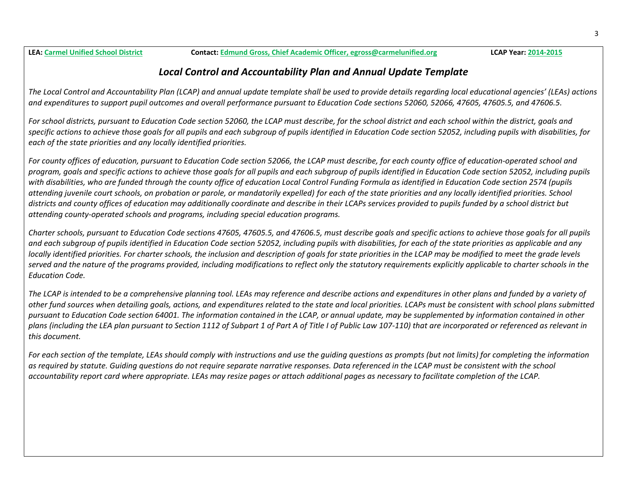**LEA: Carmel Unified**

# *Local Control and Accountability Plan and Annual Update Template*

The Local Control and Accountability Plan (LCAP) and annual update template shall be used to provide details regarding local educational agencies' (LEAs) actions and expenditures to support pupil outcomes and overall performance pursuant to Education Code sections 52060, 52066, 47605, 47605.5, and 47606.5.

For school districts, pursuant to Education Code section 52060, the LCAP must describe, for the school district and each school within the district, goals and specific actions to achieve those goals for all pupils and each subgroup of pupils identified in Education Code section 52052, including pupils with disabilities, for *each of the state priorities and any locally identified priorities.*

For county offices of education, pursuant to Education Code section 52066, the LCAP must describe, for each county office of education-operated school and program, goals and specific actions to achieve those goals for all pupils and each subgroup of pupils identified in Education Code section 52052, including pupils with disabilities, who are funded through the county office of education Local Control Funding Formula as identified in Education Code section 2574 (pupils attending juvenile court schools, on probation or parole, or mandatorily expelled) for each of the state priorities and any locally identified priorities. School districts and county offices of education may additionally coordinate and describe in their LCAPs services provided to pupils funded by a school district but *attending county‐operated schools and programs, including special education programs.*

Charter schools, pursuant to Education Code sections 47605, 47605.5, and 47606.5, must describe goals and specific actions to achieve those goals for all pupils and each subgroup of pupils identified in Education Code section 52052, including pupils with disabilities, for each of the state priorities as applicable and any locally identified priorities. For charter schools, the inclusion and description of goals for state priorities in the LCAP may be modified to meet the grade levels served and the nature of the programs provided, including modifications to reflect only the statutory requirements explicitly applicable to charter schools in the *Education Code.*

The LCAP is intended to be a comprehensive planning tool. LEAs may reference and describe actions and expenditures in other plans and funded by a variety of other fund sources when detailing goals, actions, and expenditures related to the state and local priorities. LCAPs must be consistent with school plans submitted pursuant to Education Code section 64001. The information contained in the LCAP, or annual update, may be supplemented by information contained in other plans (including the LEA plan pursuant to Section 1112 of Subpart 1 of Part A of Title I of Public Law 107-110) that are incorporated or referenced as relevant in *this document.*

For each section of the template, LEAs should comply with instructions and use the guiding questions as prompts (but not limits) for completing the information as required by statute. Guiding questions do not require separate narrative responses. Data referenced in the LCAP must be consistent with the school accountability report card where appropriate. LEAs may resize pages or attach additional pages as necessary to facilitate completion of the LCAP.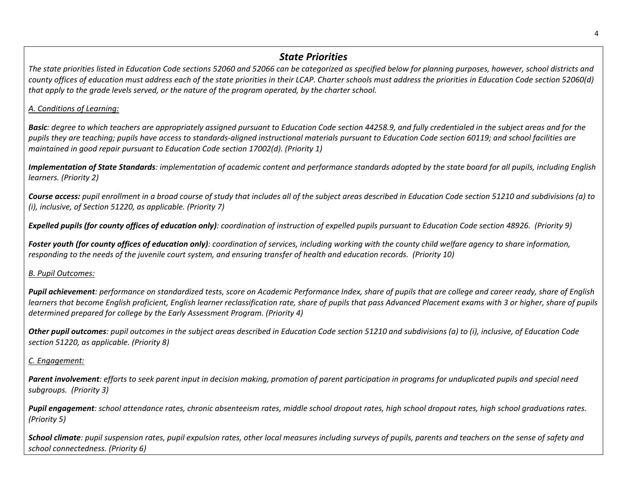#### 4

### *State Priorities*

The state priorities listed in Education Code sections 52060 and 52066 can be categorized as specified below for planning purposes, however, school districts and county offices of education must address each of the state priorities in their LCAP. Charter schools must address the priorities in Education Code section 52060(d) that apply to the grade levels served, or the nature of the program operated, by the charter school.

#### *A. Conditions of Learning:*

**Basic**: degree to which teachers are appropriately assigned pursuant to Education Code section 44258.9, and fully credentialed in the subject areas and for the pupils they are teaching; pupils have access to standards-aligned instructional materials pursuant to Education Code section 60119; and school facilities are *maintained in good repair pursuant to Education Code section 17002(d). (Priority 1)*

**Implementation of State Standards**: implementation of academic content and performance standards adopted by the state board for all pupils, including English *learners. (Priority 2)*

**Course access:** pupil enrollment in a broad course of study that includes all of the subject areas described in Education Code section 51210 and subdivisions (a) to *(i), inclusive, of Section 51220, as applicable. (Priority 7)*

**Expelled pupils (for county offices of education only)**: coordination of instruction of expelled pupils pursuant to Education Code section 48926. (Priority 9)

**Foster youth (for county offices of education only)**: coordination of services, including working with the county child welfare agency to share information, responding to the needs of the juvenile court system, and ensuring transfer of health and education records. (Priority 10)

#### *B. Pupil Outcomes:*

Pupil achievement: performance on standardized tests, score on Academic Performance Index, share of pupils that are college and career ready, share of English learners that become English proficient, English learner reclassification rate, share of pupils that pass Advanced Placement exams with 3 or higher, share of pupils *determined prepared for college by the Early Assessment Program. (Priority 4)*

**Other pupil outcomes**: pupil outcomes in the subject areas described in Education Code section 51210 and subdivisions (a) to (i), inclusive, of Education Code *section 51220, as applicable. (Priority 8)*

### *C. Engagement:*

**Parent involvement**: efforts to seek parent input in decision making, promotion of parent participation in programs for unduplicated pupils and special need *subgroups. (Priority 3)*

Pupil engagement: school attendance rates, chronic absenteeism rates, middle school dropout rates, high school dropout rates, high school graduations rates. *(Priority 5)*

**School climate**: pupil suspension rates, pupil expulsion rates, other local measures including surveys of pupils, parents and teachers on the sense of safety and *school connectedness. (Priority 6)*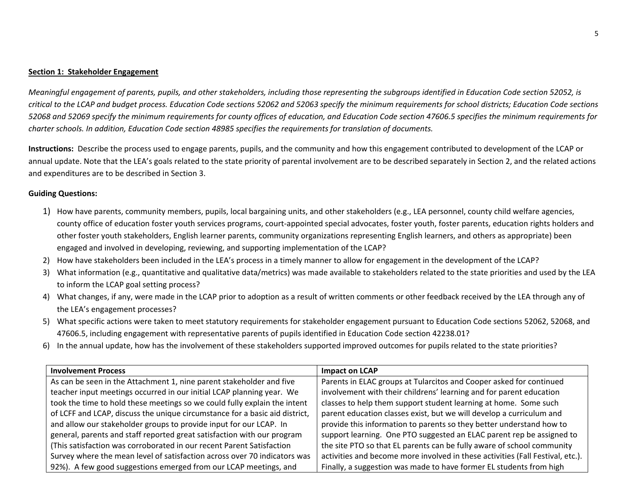#### **Section 1: Stakeholder Engagement**

Meaningful engagement of parents, pupils, and other stakeholders, including those representing the subgroups identified in Education Code section 52052, is critical to the LCAP and budget process. Education Code sections 52062 and 52063 specify the minimum requirements for school districts; Education Code sections 52068 and 52069 specify the minimum requirements for county offices of education, and Education Code section 47606.5 specifies the minimum requirements for *charter schools. In addition, Education Code section 48985 specifies the requirements for translation of documents.*

**Instructions:** Describe the process used to engage parents, pupils, and the community and how this engagement contributed to development of the LCAP or annual update. Note that the LEA's goals related to the state priority of parental involvement are to be described separately in Section 2, and the related actions and expenditures are to be described in Section 3.

#### **Guiding Questions:**

- 1) How have parents, community members, pupils, local bargaining units, and other stakeholders (e.g., LEA personnel, county child welfare agencies, county office of education foster youth services programs, court‐appointed special advocates, foster youth, foster parents, education rights holders and other foster youth stakeholders, English learner parents, community organizations representing English learners, and others as appropriate) been engaged and involved in developing, reviewing, and supporting implementation of the LCAP?
- 2) How have stakeholders been included in the LEA's process in <sup>a</sup> timely manner to allow for engagement in the development of the LCAP?
- 3) What information (e.g., quantitative and qualitative data/metrics) was made available to stakeholders related to the state priorities and used by the LEA to inform the LCAP goal setting process?
- 4) What changes, if any, were made in the LCAP prior to adoption as <sup>a</sup> result of written comments or other feedback received by the LEA through any of the LEA's engagement processes?
- 5) What specific actions were taken to meet statutory requirements for stakeholder engagement pursuant to Education Code sections 52062, 52068, and 47606.5, including engagement with representative parents of pupils identified in Education Code section 42238.01?
- 6) In the annual update, how has the involvement of these stakeholders supported improved outcomes for pupils related to the state priorities?

| <b>Involvement Process</b>                                                  | Impact on LCAP                                                                 |
|-----------------------------------------------------------------------------|--------------------------------------------------------------------------------|
| As can be seen in the Attachment 1, nine parent stakeholder and five        | Parents in ELAC groups at Tularcitos and Cooper asked for continued            |
| teacher input meetings occurred in our initial LCAP planning year. We       | involvement with their childrens' learning and for parent education            |
| took the time to hold these meetings so we could fully explain the intent   | classes to help them support student learning at home. Some such               |
| of LCFF and LCAP, discuss the unique circumstance for a basic aid district, | parent education classes exist, but we will develop a curriculum and           |
| and allow our stakeholder groups to provide input for our LCAP. In          | provide this information to parents so they better understand how to           |
| general, parents and staff reported great satisfaction with our program     | support learning. One PTO suggested an ELAC parent rep be assigned to          |
| (This satisfaction was corroborated in our recent Parent Satisfaction       | the site PTO so that EL parents can be fully aware of school community         |
| Survey where the mean level of satisfaction across over 70 indicators was   | activities and become more involved in these activities (Fall Festival, etc.). |
| 92%). A few good suggestions emerged from our LCAP meetings, and            | Finally, a suggestion was made to have former EL students from high            |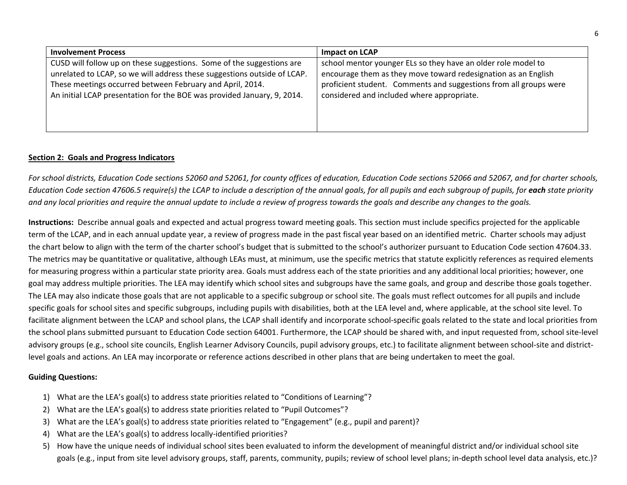| <b>Involvement Process</b>                                                                                                                                                                                                                                                                | <b>Impact on LCAP</b>                                                                                                                                                                                                                              |
|-------------------------------------------------------------------------------------------------------------------------------------------------------------------------------------------------------------------------------------------------------------------------------------------|----------------------------------------------------------------------------------------------------------------------------------------------------------------------------------------------------------------------------------------------------|
| CUSD will follow up on these suggestions. Some of the suggestions are<br>unrelated to LCAP, so we will address these suggestions outside of LCAP.<br>These meetings occurred between February and April, 2014.<br>An initial LCAP presentation for the BOE was provided January, 9, 2014. | school mentor younger ELs so they have an older role model to<br>encourage them as they move toward redesignation as an English<br>proficient student. Comments and suggestions from all groups were<br>considered and included where appropriate. |
|                                                                                                                                                                                                                                                                                           |                                                                                                                                                                                                                                                    |

#### **Section 2: Goals and Progress Indicators**

For school districts, Education Code sections 52060 and 52061, for county offices of education, Education Code sections 52066 and 52067, and for charter schools, Education Code section 47606.5 require(s) the LCAP to include a description of the annual goals, for all pupils and each subgroup of pupils, for **each** state priority and any local priorities and require the annual update to include a review of progress towards the goals and describe any changes to the goals.

**Instructions:** Describe annual goals and expected and actual progress toward meeting goals. This section must include specifics projected for the applicable term of the LCAP, and in each annual update year, <sup>a</sup> review of progress made in the past fiscal year based on an identified metric. Charter schools may adjust the chart below to align with the term of the charter school's budget that is submitted to the school's authorizer pursuant to Education Code section 47604.33. The metrics may be quantitative or qualitative, although LEAs must, at minimum, use the specific metrics that statute explicitly references as required elements for measuring progress within <sup>a</sup> particular state priority area. Goals must address each of the state priorities and any additional local priorities; however, one goal may address multiple priorities. The LEA may identify which school sites and subgroups have the same goals, and group and describe those goals together. The LEA may also indicate those goals that are not applicable to <sup>a</sup> specific subgroup or school site. The goals must reflect outcomes for all pupils and include specific goals for school sites and specific subgroups, including pupils with disabilities, both at the LEA level and, where applicable, at the school site level. To facilitate alignment between the LCAP and school plans, the LCAP shall identify and incorporate school‐specific goals related to the state and local priorities from the school plans submitted pursuant to Education Code section 64001. Furthermore, the LCAP should be shared with, and input requested from, school site‐level advisory groups (e.g., school site councils, English Learner Advisory Councils, pupil advisory groups, etc.) to facilitate alignment between school-site and districtlevel goals and actions. An LEA may incorporate or reference actions described in other plans that are being undertaken to meet the goal.

#### **Guiding Questions:**

- 1) What are the LEA's goal(s) to address state priorities related to "Conditions of Learning"?
- 2) What are the LEA's goal(s) to address state priorities related to "Pupil Outcomes"?
- 3) What are the LEA's goal(s) to address state priorities related to "Engagement" (e.g., pupil and parent)?
- 4) What are the LEA's goal(s) to address locally-identified priorities?
- 5) How have the unique needs of individual school sites been evaluated to inform the development of meaningful district and/or individual school site goals (e.g., input from site level advisory groups, staff, parents, community, pupils; review of school level plans; in‐depth school level data analysis, etc.)?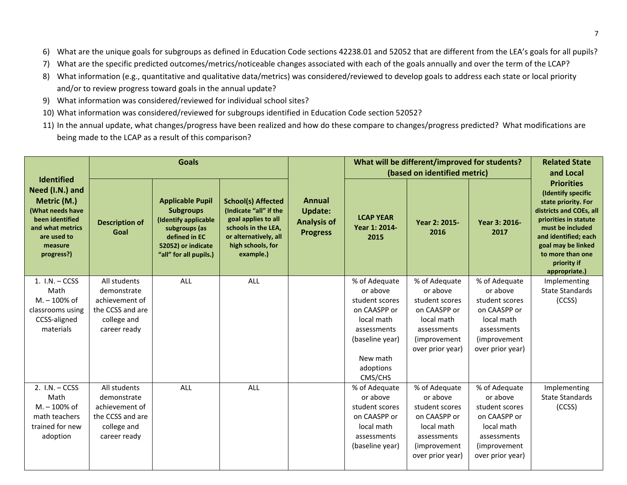- 6) What are the unique goals for subgroups as defined in Education Code sections 42238.01 and 52052 that are different from the LEA's goals for all pupils?
- 7) What are the specific predicted outcomes/metrics/noticeable changes associated with each of the goals annually and over the term of the LCAP?
- 8) What information (e.g., quantitative and qualitative data/metrics) was considered/reviewed to develop goals to address each state or local priority and/or to review progress toward goals in the annual update?
- 9) What information was considered/reviewed for individual school sites?
- 10) What information was considered/reviewed for subgroups identified in Education Code section 52052?
- 11) In the annual update, what changes/progress have been realized and how do these compare to changes/progress predicted? What modifications are being made to the LCAP as <sup>a</sup> result of this comparison?

|                                                                                                                                                        | <b>Goals</b>                  |                                                                                                                                                       |                                                                                                                                                              |                                                                          |                                           | What will be different/improved for students?<br>(based on identified metric) |                           | <b>Related State</b><br>and Local                                                                                                                                                                                                        |
|--------------------------------------------------------------------------------------------------------------------------------------------------------|-------------------------------|-------------------------------------------------------------------------------------------------------------------------------------------------------|--------------------------------------------------------------------------------------------------------------------------------------------------------------|--------------------------------------------------------------------------|-------------------------------------------|-------------------------------------------------------------------------------|---------------------------|------------------------------------------------------------------------------------------------------------------------------------------------------------------------------------------------------------------------------------------|
| <b>Identified</b><br>Need (I.N.) and<br>Metric (M.)<br>(What needs have<br>been identified<br>and what metrics<br>are used to<br>measure<br>progress?) | <b>Description of</b><br>Goal | <b>Applicable Pupil</b><br><b>Subgroups</b><br>(Identify applicable<br>subgroups (as<br>defined in EC<br>52052) or indicate<br>"all" for all pupils.) | <b>School(s) Affected</b><br>(Indicate "all" if the<br>goal applies to all<br>schools in the LEA,<br>or alternatively, all<br>high schools, for<br>example.) | <b>Annual</b><br><b>Update:</b><br><b>Analysis of</b><br><b>Progress</b> | <b>LCAP YEAR</b><br>Year 1: 2014-<br>2015 | Year 2: 2015-<br>2016                                                         | Year 3: 2016-<br>2017     | <b>Priorities</b><br>(Identify specific<br>state priority. For<br>districts and COEs, all<br>priorities in statute<br>must be included<br>and identified; each<br>goal may be linked<br>to more than one<br>priority if<br>appropriate.) |
| 1. $I.N. - CCSS$<br>Math                                                                                                                               | All students<br>demonstrate   | <b>ALL</b>                                                                                                                                            | ALL                                                                                                                                                          |                                                                          | % of Adequate<br>or above                 | % of Adequate<br>or above                                                     | % of Adequate<br>or above | Implementing<br><b>State Standards</b>                                                                                                                                                                                                   |
| $M - 100\%$ of                                                                                                                                         | achievement of                |                                                                                                                                                       |                                                                                                                                                              |                                                                          | student scores                            | student scores                                                                | student scores            | (CCSS)                                                                                                                                                                                                                                   |
| classrooms using                                                                                                                                       | the CCSS and are              |                                                                                                                                                       |                                                                                                                                                              |                                                                          | on CAASPP or                              | on CAASPP or                                                                  | on CAASPP or              |                                                                                                                                                                                                                                          |
| CCSS-aligned                                                                                                                                           | college and                   |                                                                                                                                                       |                                                                                                                                                              |                                                                          | local math                                | local math                                                                    | local math                |                                                                                                                                                                                                                                          |
| materials                                                                                                                                              | career ready                  |                                                                                                                                                       |                                                                                                                                                              |                                                                          | assessments                               | assessments                                                                   | assessments               |                                                                                                                                                                                                                                          |
|                                                                                                                                                        |                               |                                                                                                                                                       |                                                                                                                                                              |                                                                          | (baseline year)                           | (improvement)                                                                 | (improvement)             |                                                                                                                                                                                                                                          |
|                                                                                                                                                        |                               |                                                                                                                                                       |                                                                                                                                                              |                                                                          |                                           | over prior year)                                                              | over prior year)          |                                                                                                                                                                                                                                          |
|                                                                                                                                                        |                               |                                                                                                                                                       |                                                                                                                                                              |                                                                          | New math                                  |                                                                               |                           |                                                                                                                                                                                                                                          |
|                                                                                                                                                        |                               |                                                                                                                                                       |                                                                                                                                                              |                                                                          | adoptions                                 |                                                                               |                           |                                                                                                                                                                                                                                          |
| 2. $I.N. - CCSS$                                                                                                                                       | All students                  | ALL                                                                                                                                                   | ALL                                                                                                                                                          |                                                                          | CMS/CHS<br>% of Adequate                  | % of Adequate                                                                 | % of Adequate             | Implementing                                                                                                                                                                                                                             |
| Math                                                                                                                                                   | demonstrate                   |                                                                                                                                                       |                                                                                                                                                              |                                                                          | or above                                  | or above                                                                      | or above                  | <b>State Standards</b>                                                                                                                                                                                                                   |
| $M. - 100\%$ of                                                                                                                                        | achievement of                |                                                                                                                                                       |                                                                                                                                                              |                                                                          | student scores                            | student scores                                                                | student scores            | (CCSS)                                                                                                                                                                                                                                   |
| math teachers                                                                                                                                          | the CCSS and are              |                                                                                                                                                       |                                                                                                                                                              |                                                                          | on CAASPP or                              | on CAASPP or                                                                  | on CAASPP or              |                                                                                                                                                                                                                                          |
| trained for new                                                                                                                                        | college and                   |                                                                                                                                                       |                                                                                                                                                              |                                                                          | local math                                | local math                                                                    | local math                |                                                                                                                                                                                                                                          |
| adoption                                                                                                                                               | career ready                  |                                                                                                                                                       |                                                                                                                                                              |                                                                          | assessments                               | assessments                                                                   | assessments               |                                                                                                                                                                                                                                          |
|                                                                                                                                                        |                               |                                                                                                                                                       |                                                                                                                                                              |                                                                          | (baseline year)                           | (improvement)                                                                 | (improvement)             |                                                                                                                                                                                                                                          |
|                                                                                                                                                        |                               |                                                                                                                                                       |                                                                                                                                                              |                                                                          |                                           | over prior year)                                                              | over prior year)          |                                                                                                                                                                                                                                          |
|                                                                                                                                                        |                               |                                                                                                                                                       |                                                                                                                                                              |                                                                          |                                           |                                                                               |                           |                                                                                                                                                                                                                                          |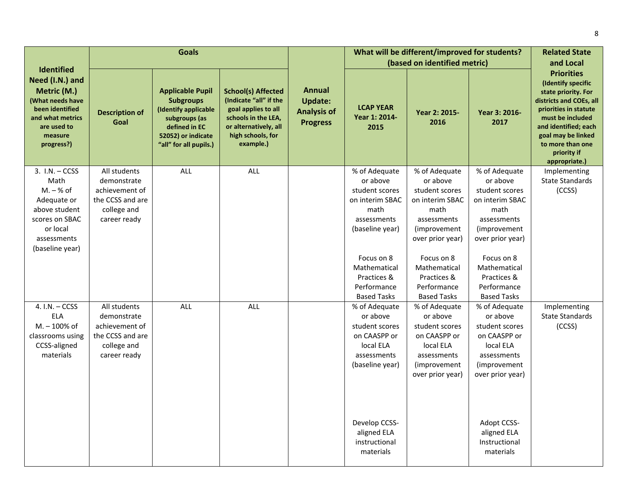|                                                                                                                                   |                               | <b>Goals</b>                                                                                                                                          |                                                                                                                                                              |                                                                          |                                           | What will be different/improved for students? |                       | <b>Related State</b>                                                                                                                                                                                                                     |
|-----------------------------------------------------------------------------------------------------------------------------------|-------------------------------|-------------------------------------------------------------------------------------------------------------------------------------------------------|--------------------------------------------------------------------------------------------------------------------------------------------------------------|--------------------------------------------------------------------------|-------------------------------------------|-----------------------------------------------|-----------------------|------------------------------------------------------------------------------------------------------------------------------------------------------------------------------------------------------------------------------------------|
| <b>Identified</b>                                                                                                                 |                               |                                                                                                                                                       |                                                                                                                                                              |                                                                          |                                           | (based on identified metric)                  |                       | and Local                                                                                                                                                                                                                                |
| Need (I.N.) and<br>Metric (M.)<br>(What needs have<br>been identified<br>and what metrics<br>are used to<br>measure<br>progress?) | <b>Description of</b><br>Goal | <b>Applicable Pupil</b><br><b>Subgroups</b><br>(Identify applicable<br>subgroups (as<br>defined in EC<br>52052) or indicate<br>"all" for all pupils.) | <b>School(s) Affected</b><br>(Indicate "all" if the<br>goal applies to all<br>schools in the LEA,<br>or alternatively, all<br>high schools, for<br>example.) | <b>Annual</b><br><b>Update:</b><br><b>Analysis of</b><br><b>Progress</b> | <b>LCAP YEAR</b><br>Year 1: 2014-<br>2015 | Year 2: 2015-<br>2016                         | Year 3: 2016-<br>2017 | <b>Priorities</b><br>(Identify specific<br>state priority. For<br>districts and COEs, all<br>priorities in statute<br>must be included<br>and identified; each<br>goal may be linked<br>to more than one<br>priority if<br>appropriate.) |
| $3. I.N. - CCSS$                                                                                                                  | All students                  | ALL                                                                                                                                                   | ALL                                                                                                                                                          |                                                                          | % of Adequate                             | % of Adequate                                 | % of Adequate         | Implementing                                                                                                                                                                                                                             |
| Math                                                                                                                              | demonstrate                   |                                                                                                                                                       |                                                                                                                                                              |                                                                          | or above                                  | or above                                      | or above              | <b>State Standards</b>                                                                                                                                                                                                                   |
| $M - % of$                                                                                                                        | achievement of                |                                                                                                                                                       |                                                                                                                                                              |                                                                          | student scores                            | student scores                                | student scores        | (CCSS)                                                                                                                                                                                                                                   |
| Adequate or                                                                                                                       | the CCSS and are              |                                                                                                                                                       |                                                                                                                                                              |                                                                          | on interim SBAC                           | on interim SBAC                               | on interim SBAC       |                                                                                                                                                                                                                                          |
| above student                                                                                                                     | college and                   |                                                                                                                                                       |                                                                                                                                                              |                                                                          | math                                      | math                                          | math                  |                                                                                                                                                                                                                                          |
| scores on SBAC                                                                                                                    | career ready                  |                                                                                                                                                       |                                                                                                                                                              |                                                                          | assessments                               | assessments                                   | assessments           |                                                                                                                                                                                                                                          |
| or local                                                                                                                          |                               |                                                                                                                                                       |                                                                                                                                                              |                                                                          | (baseline year)                           | (improvement)                                 | (improvement)         |                                                                                                                                                                                                                                          |
| assessments                                                                                                                       |                               |                                                                                                                                                       |                                                                                                                                                              |                                                                          |                                           | over prior year)                              | over prior year)      |                                                                                                                                                                                                                                          |
| (baseline year)                                                                                                                   |                               |                                                                                                                                                       |                                                                                                                                                              |                                                                          |                                           |                                               |                       |                                                                                                                                                                                                                                          |
|                                                                                                                                   |                               |                                                                                                                                                       |                                                                                                                                                              |                                                                          | Focus on 8                                | Focus on 8                                    | Focus on 8            |                                                                                                                                                                                                                                          |
|                                                                                                                                   |                               |                                                                                                                                                       |                                                                                                                                                              |                                                                          | Mathematical                              | Mathematical                                  | Mathematical          |                                                                                                                                                                                                                                          |
|                                                                                                                                   |                               |                                                                                                                                                       |                                                                                                                                                              |                                                                          | Practices &                               | Practices &                                   | Practices &           |                                                                                                                                                                                                                                          |
|                                                                                                                                   |                               |                                                                                                                                                       |                                                                                                                                                              |                                                                          | Performance                               | Performance                                   | Performance           |                                                                                                                                                                                                                                          |
|                                                                                                                                   |                               |                                                                                                                                                       |                                                                                                                                                              |                                                                          | <b>Based Tasks</b>                        | <b>Based Tasks</b>                            | <b>Based Tasks</b>    |                                                                                                                                                                                                                                          |
| 4. I.N. - CCSS                                                                                                                    | All students                  | ALL                                                                                                                                                   | ALL                                                                                                                                                          |                                                                          | % of Adequate                             | % of Adequate                                 | % of Adequate         | Implementing                                                                                                                                                                                                                             |
| <b>ELA</b>                                                                                                                        | demonstrate                   |                                                                                                                                                       |                                                                                                                                                              |                                                                          | or above                                  | or above                                      | or above              | <b>State Standards</b>                                                                                                                                                                                                                   |
| M. - 100% of                                                                                                                      | achievement of                |                                                                                                                                                       |                                                                                                                                                              |                                                                          | student scores                            | student scores                                | student scores        | (CCSS)                                                                                                                                                                                                                                   |
| classrooms using                                                                                                                  | the CCSS and are              |                                                                                                                                                       |                                                                                                                                                              |                                                                          | on CAASPP or                              | on CAASPP or                                  | on CAASPP or          |                                                                                                                                                                                                                                          |
| CCSS-aligned                                                                                                                      | college and                   |                                                                                                                                                       |                                                                                                                                                              |                                                                          | local ELA                                 | local ELA                                     | local ELA             |                                                                                                                                                                                                                                          |
| materials                                                                                                                         | career ready                  |                                                                                                                                                       |                                                                                                                                                              |                                                                          | assessments                               | assessments                                   | assessments           |                                                                                                                                                                                                                                          |
|                                                                                                                                   |                               |                                                                                                                                                       |                                                                                                                                                              |                                                                          | (baseline year)                           | (improvement                                  | (improvement)         |                                                                                                                                                                                                                                          |
|                                                                                                                                   |                               |                                                                                                                                                       |                                                                                                                                                              |                                                                          |                                           | over prior year)                              | over prior year)      |                                                                                                                                                                                                                                          |
|                                                                                                                                   |                               |                                                                                                                                                       |                                                                                                                                                              |                                                                          |                                           |                                               |                       |                                                                                                                                                                                                                                          |
|                                                                                                                                   |                               |                                                                                                                                                       |                                                                                                                                                              |                                                                          |                                           |                                               |                       |                                                                                                                                                                                                                                          |
|                                                                                                                                   |                               |                                                                                                                                                       |                                                                                                                                                              |                                                                          |                                           |                                               |                       |                                                                                                                                                                                                                                          |
|                                                                                                                                   |                               |                                                                                                                                                       |                                                                                                                                                              |                                                                          | Develop CCSS-                             |                                               | Adopt CCSS-           |                                                                                                                                                                                                                                          |
|                                                                                                                                   |                               |                                                                                                                                                       |                                                                                                                                                              |                                                                          | aligned ELA                               |                                               | aligned ELA           |                                                                                                                                                                                                                                          |
|                                                                                                                                   |                               |                                                                                                                                                       |                                                                                                                                                              |                                                                          | instructional                             |                                               | Instructional         |                                                                                                                                                                                                                                          |
|                                                                                                                                   |                               |                                                                                                                                                       |                                                                                                                                                              |                                                                          | materials                                 |                                               | materials             |                                                                                                                                                                                                                                          |
|                                                                                                                                   |                               |                                                                                                                                                       |                                                                                                                                                              |                                                                          |                                           |                                               |                       |                                                                                                                                                                                                                                          |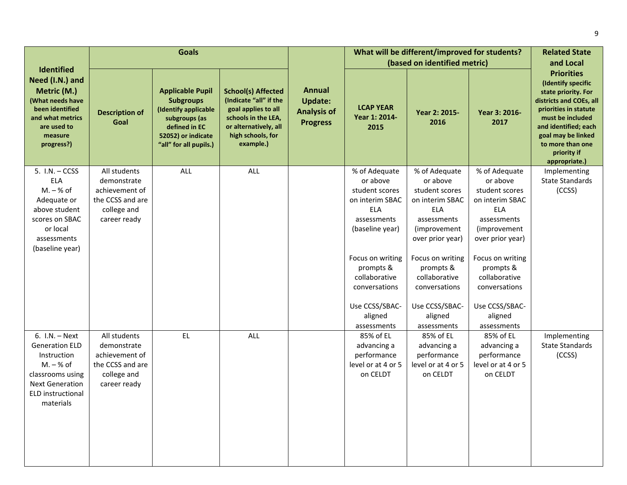|                                                                                                                                                                | <b>Goals</b>                                                                                     |                                                                                                                                                       |                                                                                                                                                              |                                                                          |                                                                                                                                                                                                                               | What will be different/improved for students?                                                                                                                                                                                            |                                                                                                                                                                                                                                                 | <b>Related State</b><br>and Local                                                                                                                                                                                                        |
|----------------------------------------------------------------------------------------------------------------------------------------------------------------|--------------------------------------------------------------------------------------------------|-------------------------------------------------------------------------------------------------------------------------------------------------------|--------------------------------------------------------------------------------------------------------------------------------------------------------------|--------------------------------------------------------------------------|-------------------------------------------------------------------------------------------------------------------------------------------------------------------------------------------------------------------------------|------------------------------------------------------------------------------------------------------------------------------------------------------------------------------------------------------------------------------------------|-------------------------------------------------------------------------------------------------------------------------------------------------------------------------------------------------------------------------------------------------|------------------------------------------------------------------------------------------------------------------------------------------------------------------------------------------------------------------------------------------|
| Identified<br>Need (I.N.) and<br>Metric (M.)<br>(What needs have<br>been identified<br>and what metrics<br>are used to<br>measure<br>progress?)                | <b>Description of</b><br>Goal                                                                    | <b>Applicable Pupil</b><br><b>Subgroups</b><br>(Identify applicable<br>subgroups (as<br>defined in EC<br>52052) or indicate<br>"all" for all pupils.) | <b>School(s) Affected</b><br>(Indicate "all" if the<br>goal applies to all<br>schools in the LEA,<br>or alternatively, all<br>high schools, for<br>example.) | <b>Annual</b><br><b>Update:</b><br><b>Analysis of</b><br><b>Progress</b> | <b>LCAP YEAR</b><br>Year 1: 2014-<br>2015                                                                                                                                                                                     | (based on identified metric)<br>Year 2: 2015-<br>2016                                                                                                                                                                                    | Year 3: 2016-<br>2017                                                                                                                                                                                                                           | <b>Priorities</b><br>(Identify specific<br>state priority. For<br>districts and COEs, all<br>priorities in statute<br>must be included<br>and identified; each<br>goal may be linked<br>to more than one<br>priority if<br>appropriate.) |
| 5. $I.N. - CCSS$<br><b>ELA</b><br>$M - % of$<br>Adequate or<br>above student<br>scores on SBAC<br>or local<br>assessments<br>(baseline year)                   | All students<br>demonstrate<br>achievement of<br>the CCSS and are<br>college and<br>career ready | ALL                                                                                                                                                   | <b>ALL</b>                                                                                                                                                   |                                                                          | % of Adequate<br>or above<br>student scores<br>on interim SBAC<br><b>ELA</b><br>assessments<br>(baseline year)<br>Focus on writing<br>prompts &<br>collaborative<br>conversations<br>Use CCSS/SBAC-<br>aligned<br>assessments | % of Adequate<br>or above<br>student scores<br>on interim SBAC<br>ELA<br>assessments<br>(improvement)<br>over prior year)<br>Focus on writing<br>prompts &<br>collaborative<br>conversations<br>Use CCSS/SBAC-<br>aligned<br>assessments | % of Adequate<br>or above<br>student scores<br>on interim SBAC<br><b>ELA</b><br>assessments<br>(improvement)<br>over prior year)<br>Focus on writing<br>prompts &<br>collaborative<br>conversations<br>Use CCSS/SBAC-<br>aligned<br>assessments | Implementing<br><b>State Standards</b><br>(CCSS)                                                                                                                                                                                         |
| $6. I.N. - Next$<br><b>Generation ELD</b><br>Instruction<br>$M. - % of$<br>classrooms using<br><b>Next Generation</b><br><b>ELD</b> instructional<br>materials | All students<br>demonstrate<br>achievement of<br>the CCSS and are<br>college and<br>career ready | EL.                                                                                                                                                   | <b>ALL</b>                                                                                                                                                   |                                                                          | 85% of EL<br>advancing a<br>performance<br>level or at 4 or 5<br>on CELDT                                                                                                                                                     | 85% of EL<br>advancing a<br>performance<br>level or at 4 or 5<br>on CELDT                                                                                                                                                                | 85% of EL<br>advancing a<br>performance<br>level or at 4 or 5<br>on CELDT                                                                                                                                                                       | Implementing<br><b>State Standards</b><br>(CCSS)                                                                                                                                                                                         |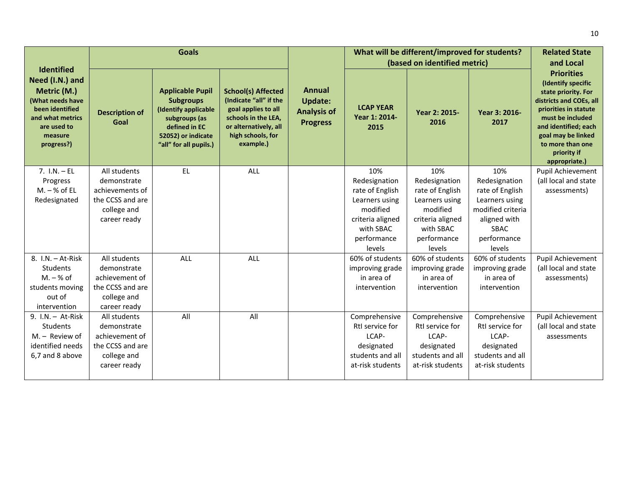|                                                                                                                                                        |                               | <b>Goals</b>                                                                                                                                          |                                                                                                                                                              |                                                                          |                                           | What will be different/improved for students?<br>(based on identified metric) |                       | <b>Related State</b><br>and Local                                                                                                                                                                                                        |
|--------------------------------------------------------------------------------------------------------------------------------------------------------|-------------------------------|-------------------------------------------------------------------------------------------------------------------------------------------------------|--------------------------------------------------------------------------------------------------------------------------------------------------------------|--------------------------------------------------------------------------|-------------------------------------------|-------------------------------------------------------------------------------|-----------------------|------------------------------------------------------------------------------------------------------------------------------------------------------------------------------------------------------------------------------------------|
| <b>Identified</b><br>Need (I.N.) and<br>Metric (M.)<br>(What needs have<br>been identified<br>and what metrics<br>are used to<br>measure<br>progress?) | <b>Description of</b><br>Goal | <b>Applicable Pupil</b><br><b>Subgroups</b><br>(Identify applicable<br>subgroups (as<br>defined in EC<br>52052) or indicate<br>"all" for all pupils.) | <b>School(s) Affected</b><br>(Indicate "all" if the<br>goal applies to all<br>schools in the LEA,<br>or alternatively, all<br>high schools, for<br>example.) | <b>Annual</b><br><b>Update:</b><br><b>Analysis of</b><br><b>Progress</b> | <b>LCAP YEAR</b><br>Year 1: 2014-<br>2015 | Year 2: 2015-<br>2016                                                         | Year 3: 2016-<br>2017 | <b>Priorities</b><br>(Identify specific<br>state priority. For<br>districts and COEs, all<br>priorities in statute<br>must be included<br>and identified; each<br>goal may be linked<br>to more than one<br>priority if<br>appropriate.) |
| $7. 1.N. - EL$                                                                                                                                         | All students                  | EL.                                                                                                                                                   | ALL                                                                                                                                                          |                                                                          | 10%                                       | 10%                                                                           | 10%                   | Pupil Achievement                                                                                                                                                                                                                        |
| Progress                                                                                                                                               | demonstrate                   |                                                                                                                                                       |                                                                                                                                                              |                                                                          | Redesignation                             | Redesignation                                                                 | Redesignation         | (all local and state                                                                                                                                                                                                                     |
| $M. - % of EL$                                                                                                                                         | achievements of               |                                                                                                                                                       |                                                                                                                                                              |                                                                          | rate of English                           | rate of English                                                               | rate of English       | assessments)                                                                                                                                                                                                                             |
| Redesignated                                                                                                                                           | the CCSS and are              |                                                                                                                                                       |                                                                                                                                                              |                                                                          | Learners using                            | Learners using                                                                | Learners using        |                                                                                                                                                                                                                                          |
|                                                                                                                                                        | college and                   |                                                                                                                                                       |                                                                                                                                                              |                                                                          | modified                                  | modified                                                                      | modified criteria     |                                                                                                                                                                                                                                          |
|                                                                                                                                                        | career ready                  |                                                                                                                                                       |                                                                                                                                                              |                                                                          | criteria aligned<br>with SBAC             | criteria aligned<br>with SBAC                                                 | aligned with<br>SBAC  |                                                                                                                                                                                                                                          |
|                                                                                                                                                        |                               |                                                                                                                                                       |                                                                                                                                                              |                                                                          | performance                               | performance                                                                   | performance           |                                                                                                                                                                                                                                          |
|                                                                                                                                                        |                               |                                                                                                                                                       |                                                                                                                                                              |                                                                          | levels                                    | levels                                                                        | levels                |                                                                                                                                                                                                                                          |
| 8. I.N. - At-Risk                                                                                                                                      | All students                  | <b>ALL</b>                                                                                                                                            | ALL                                                                                                                                                          |                                                                          | 60% of students                           | 60% of students                                                               | 60% of students       | Pupil Achievement                                                                                                                                                                                                                        |
| Students                                                                                                                                               | demonstrate                   |                                                                                                                                                       |                                                                                                                                                              |                                                                          | improving grade                           | improving grade                                                               | improving grade       | (all local and state                                                                                                                                                                                                                     |
| $M. - % of$                                                                                                                                            | achievement of                |                                                                                                                                                       |                                                                                                                                                              |                                                                          | in area of                                | in area of                                                                    | in area of            | assessments)                                                                                                                                                                                                                             |
| students moving                                                                                                                                        | the CCSS and are              |                                                                                                                                                       |                                                                                                                                                              |                                                                          | intervention                              | intervention                                                                  | intervention          |                                                                                                                                                                                                                                          |
| out of                                                                                                                                                 | college and                   |                                                                                                                                                       |                                                                                                                                                              |                                                                          |                                           |                                                                               |                       |                                                                                                                                                                                                                                          |
| intervention                                                                                                                                           | career ready                  |                                                                                                                                                       |                                                                                                                                                              |                                                                          |                                           |                                                                               |                       |                                                                                                                                                                                                                                          |
| 9. I.N. - At-Risk                                                                                                                                      | All students                  | All                                                                                                                                                   | All                                                                                                                                                          |                                                                          | Comprehensive                             | Comprehensive                                                                 | Comprehensive         | Pupil Achievement                                                                                                                                                                                                                        |
| Students                                                                                                                                               | demonstrate                   |                                                                                                                                                       |                                                                                                                                                              |                                                                          | RtI service for                           | RtI service for                                                               | RtI service for       | (all local and state                                                                                                                                                                                                                     |
| M. - Review of                                                                                                                                         | achievement of                |                                                                                                                                                       |                                                                                                                                                              |                                                                          | LCAP-                                     | LCAP-                                                                         | LCAP-                 | assessments                                                                                                                                                                                                                              |
| identified needs                                                                                                                                       | the CCSS and are              |                                                                                                                                                       |                                                                                                                                                              |                                                                          | designated                                | designated                                                                    | designated            |                                                                                                                                                                                                                                          |
| 6,7 and 8 above                                                                                                                                        | college and                   |                                                                                                                                                       |                                                                                                                                                              |                                                                          | students and all                          | students and all                                                              | students and all      |                                                                                                                                                                                                                                          |
|                                                                                                                                                        | career ready                  |                                                                                                                                                       |                                                                                                                                                              |                                                                          | at-risk students                          | at-risk students                                                              | at-risk students      |                                                                                                                                                                                                                                          |
|                                                                                                                                                        |                               |                                                                                                                                                       |                                                                                                                                                              |                                                                          |                                           |                                                                               |                       |                                                                                                                                                                                                                                          |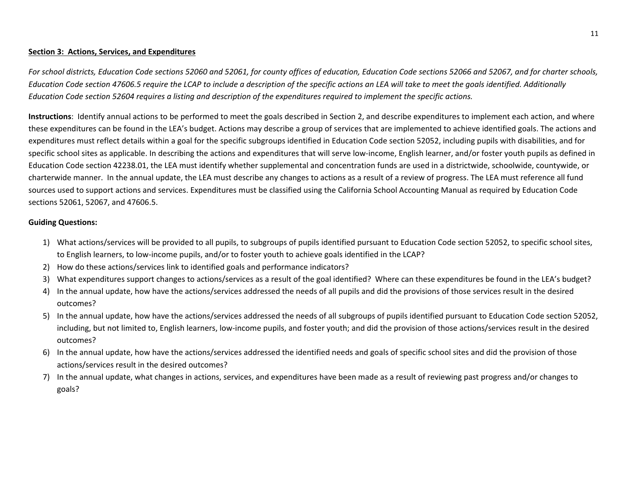#### **Section 3: Actions, Services, and Expenditures**

For school districts, Education Code sections 52060 and 52061, for county offices of education, Education Code sections 52066 and 52067, and for charter schools, Education Code section 47606.5 require the LCAP to include a description of the specific actions an LEA will take to meet the goals identified. Additionally Education Code section 52604 requires a listing and description of the expenditures required to implement the specific actions.

**Instructions**: Identify annual actions to be performed to meet the goals described in Section 2, and describe expenditures to implement each action, and where these expenditures can be found in the LEA's budget. Actions may describe <sup>a</sup> group of services that are implemented to achieve identified goals. The actions and expenditures must reflect details within <sup>a</sup> goal for the specific subgroups identified in Education Code section 52052, including pupils with disabilities, and for specific school sites as applicable. In describing the actions and expenditures that will serve low-income, English learner, and/or foster youth pupils as defined in Education Code section 42238.01, the LEA must identify whether supplemental and concentration funds are used in <sup>a</sup> districtwide, schoolwide, countywide, or charterwide manner. In the annual update, the LEA must describe any changes to actions as <sup>a</sup> result of <sup>a</sup> review of progress. The LEA must reference all fund sources used to support actions and services. Expenditures must be classified using the California School Accounting Manual as required by Education Code sections 52061, 52067, and 47606.5.

#### **Guiding Questions:**

- 1) What actions/services will be provided to all pupils, to subgroups of pupils identified pursuant to Education Code section 52052, to specific school sites, to English learners, to low‐income pupils, and/or to foster youth to achieve goals identified in the LCAP?
- 2) How do these actions/services link to identified goals and performance indicators?
- 3) What expenditures support changes to actions/services as <sup>a</sup> result of the goal identified? Where can these expenditures be found in the LEA's budget?
- 4) In the annual update, how have the actions/services addressed the needs of all pupils and did the provisions of those services result in the desired outcomes?
- 5) In the annual update, how have the actions/services addressed the needs of all subgroups of pupils identified pursuant to Education Code section 52052, including, but not limited to, English learners, low‐income pupils, and foster youth; and did the provision of those actions/services result in the desired outcomes?
- 6) In the annual update, how have the actions/services addressed the identified needs and goals of specific school sites and did the provision of those actions/services result in the desired outcomes?
- 7) In the annual update, what changes in actions, services, and expenditures have been made as <sup>a</sup> result of reviewing past progress and/or changes to goals?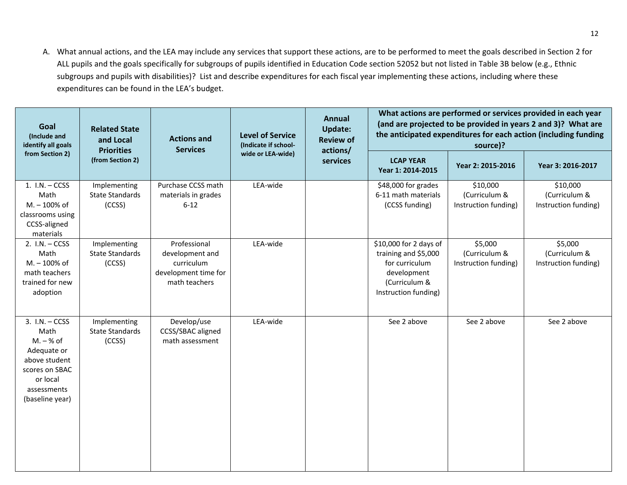A. What annual actions, and the LEA may include any services that support these actions, are to be performed to meet the goals described in Section 2 for ALL pupils and the goals specifically for subgroups of pupils identified in Education Code section 52052 but not listed in Table 3B below (e.g., Ethnic subgroups and pupils with disabilities)? List and describe expenditures for each fiscal year implementing these actions, including where these expenditures can be found in the LEA's budget.

| Goal<br>(Include and<br>identify all goals                                                                                              | <b>Related State</b><br>and Local<br><b>Priorities</b> | <b>Actions and</b><br><b>Services</b>                                                  | <b>Level of Service</b><br>(Indicate if school- | <b>Annual</b><br><b>Update:</b><br><b>Review of</b><br>actions/ |                                                                                                                          | What actions are performed or services provided in each year<br>(and are projected to be provided in years 2 and 3)? What are<br>the anticipated expenditures for each action (including funding<br>source)? |                                                   |  |
|-----------------------------------------------------------------------------------------------------------------------------------------|--------------------------------------------------------|----------------------------------------------------------------------------------------|-------------------------------------------------|-----------------------------------------------------------------|--------------------------------------------------------------------------------------------------------------------------|--------------------------------------------------------------------------------------------------------------------------------------------------------------------------------------------------------------|---------------------------------------------------|--|
| from Section 2)                                                                                                                         | (from Section 2)                                       |                                                                                        | wide or LEA-wide)                               | services                                                        | <b>LCAP YEAR</b><br>Year 1: 2014-2015                                                                                    | Year 2: 2015-2016                                                                                                                                                                                            | Year 3: 2016-2017                                 |  |
| $1. I.N. - CCSS$<br>Math<br>M. - 100% of<br>classrooms using<br>CCSS-aligned<br>materials                                               | Implementing<br><b>State Standards</b><br>(CCSS)       | Purchase CCSS math<br>materials in grades<br>$6 - 12$                                  | LEA-wide                                        |                                                                 | \$48,000 for grades<br>6-11 math materials<br>(CCSS funding)                                                             | \$10,000<br>(Curriculum &<br>Instruction funding)                                                                                                                                                            | \$10,000<br>(Curriculum &<br>Instruction funding) |  |
| $2. I.N. - CCSS$<br>Math<br>M. - 100% of<br>math teachers<br>trained for new<br>adoption                                                | Implementing<br><b>State Standards</b><br>(CCSS)       | Professional<br>development and<br>curriculum<br>development time for<br>math teachers | LEA-wide                                        |                                                                 | \$10,000 for 2 days of<br>training and \$5,000<br>for curriculum<br>development<br>(Curriculum &<br>Instruction funding) | \$5,000<br>(Curriculum &<br>Instruction funding)                                                                                                                                                             | \$5,000<br>(Curriculum &<br>Instruction funding)  |  |
| $3. I.N. - CCSS$<br>Math<br>$M. - % of$<br>Adequate or<br>above student<br>scores on SBAC<br>or local<br>assessments<br>(baseline year) | Implementing<br><b>State Standards</b><br>(CCSS)       | Develop/use<br>CCSS/SBAC aligned<br>math assessment                                    | LEA-wide                                        |                                                                 | See 2 above                                                                                                              | See 2 above                                                                                                                                                                                                  | See 2 above                                       |  |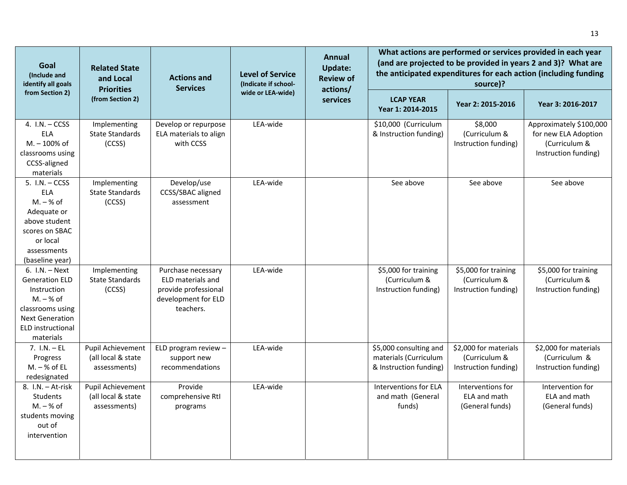| Goal<br>(Include and<br>identify all goals                                                                                                              | <b>Related State</b><br>and Local<br><b>Priorities</b>  | <b>Actions and</b><br><b>Services</b>                                                               | <b>Level of Service</b><br>(Indicate if school- | Annual<br><b>Update:</b><br><b>Review of</b> | What actions are performed or services provided in each year<br>(and are projected to be provided in years 2 and 3)? What are<br>the anticipated expenditures for each action (including funding<br>source)?<br>actions/ |                                                                |                                                                                          |  |  |
|---------------------------------------------------------------------------------------------------------------------------------------------------------|---------------------------------------------------------|-----------------------------------------------------------------------------------------------------|-------------------------------------------------|----------------------------------------------|--------------------------------------------------------------------------------------------------------------------------------------------------------------------------------------------------------------------------|----------------------------------------------------------------|------------------------------------------------------------------------------------------|--|--|
| from Section 2)                                                                                                                                         | (from Section 2)                                        |                                                                                                     | wide or LEA-wide)                               | services                                     | <b>LCAP YEAR</b><br>Year 1: 2014-2015                                                                                                                                                                                    | Year 2: 2015-2016                                              | Year 3: 2016-2017                                                                        |  |  |
| 4. $I.N. - CCSS$<br>ELA<br>M. - 100% of<br>classrooms using<br>CCSS-aligned<br>materials                                                                | Implementing<br><b>State Standards</b><br>(CCSS)        | Develop or repurpose<br>ELA materials to align<br>with CCSS                                         | LEA-wide                                        |                                              | \$10,000 (Curriculum<br>& Instruction funding)                                                                                                                                                                           | \$8,000<br>(Curriculum &<br>Instruction funding)               | Approximately \$100,000<br>for new ELA Adoption<br>(Curriculum &<br>Instruction funding) |  |  |
| $5. I.N. - CCSS$<br>ELA<br>$M. - % of$<br>Adequate or<br>above student<br>scores on SBAC<br>or local<br>assessments<br>(baseline year)                  | Implementing<br><b>State Standards</b><br>(CCSS)        | Develop/use<br>CCSS/SBAC aligned<br>assessment                                                      | LEA-wide                                        |                                              | See above                                                                                                                                                                                                                | See above                                                      | See above                                                                                |  |  |
| $6. I.N. - Next$<br><b>Generation ELD</b><br>Instruction<br>$M. - % of$<br>classrooms using<br><b>Next Generation</b><br>ELD instructional<br>materials | Implementing<br><b>State Standards</b><br>(CCSS)        | Purchase necessary<br>ELD materials and<br>provide professional<br>development for ELD<br>teachers. | LEA-wide                                        |                                              | \$5,000 for training<br>(Curriculum &<br>Instruction funding)                                                                                                                                                            | \$5,000 for training<br>(Curriculum &<br>Instruction funding)  | \$5,000 for training<br>(Curriculum &<br>Instruction funding)                            |  |  |
| $7. 1.N. - EL$<br>Progress<br>$M. - % of EL$<br>redesignated                                                                                            | Pupil Achievement<br>(all local & state<br>assessments) | ELD program review $-$<br>support new<br>recommendations                                            | LEA-wide                                        |                                              | \$5,000 consulting and<br>materials (Curriculum<br>& Instruction funding)                                                                                                                                                | \$2,000 for materials<br>(Curriculum &<br>Instruction funding) | \$2,000 for materials<br>(Curriculum &<br>Instruction funding)                           |  |  |
| 8. I.N. - At-risk<br><b>Students</b><br>$M. - % of$<br>students moving<br>out of<br>intervention                                                        | Pupil Achievement<br>(all local & state<br>assessments) | Provide<br>comprehensive RtI<br>programs                                                            | LEA-wide                                        |                                              | Interventions for ELA<br>and math (General<br>funds)                                                                                                                                                                     | Interventions for<br>ELA and math<br>(General funds)           | Intervention for<br>ELA and math<br>(General funds)                                      |  |  |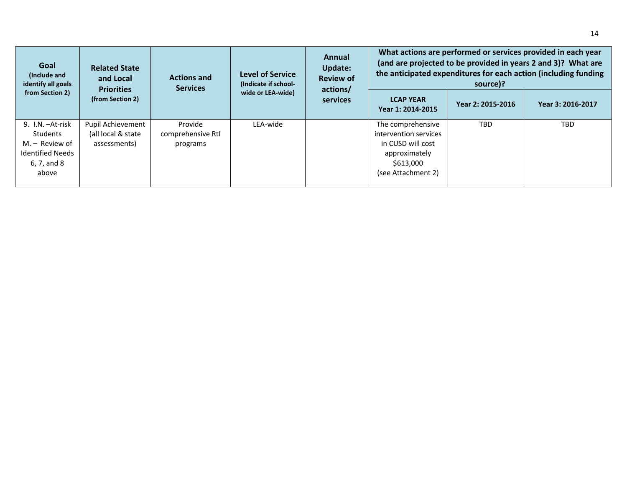| Goal<br>(Include and<br>identify all goals                                                          | <b>Related State</b><br>and Local<br><b>Priorities</b>  | <b>Actions and</b><br><b>Services</b>    | <b>Level of Service</b><br>(Indicate if school- | Annual<br><b>Update:</b><br><b>Review of</b><br>actions/ |                                                                                                                     | source)?          | What actions are performed or services provided in each year<br>(and are projected to be provided in years 2 and 3)? What are<br>the anticipated expenditures for each action (including funding |
|-----------------------------------------------------------------------------------------------------|---------------------------------------------------------|------------------------------------------|-------------------------------------------------|----------------------------------------------------------|---------------------------------------------------------------------------------------------------------------------|-------------------|--------------------------------------------------------------------------------------------------------------------------------------------------------------------------------------------------|
| from Section 2)                                                                                     | (from Section 2)                                        |                                          | wide or LEA-wide)                               | services                                                 | <b>LCAP YEAR</b><br>Year 1: 2014-2015                                                                               | Year 2: 2015-2016 | Year 3: 2016-2017                                                                                                                                                                                |
| 9. I.N. - At-risk<br>Students<br>$M -$ Review of<br><b>Identified Needs</b><br>6, 7, and 8<br>above | Pupil Achievement<br>(all local & state<br>assessments) | Provide<br>comprehensive RtI<br>programs | LEA-wide                                        |                                                          | The comprehensive<br>intervention services<br>in CUSD will cost<br>approximately<br>\$613,000<br>(see Attachment 2) | <b>TBD</b>        | <b>TBD</b>                                                                                                                                                                                       |

14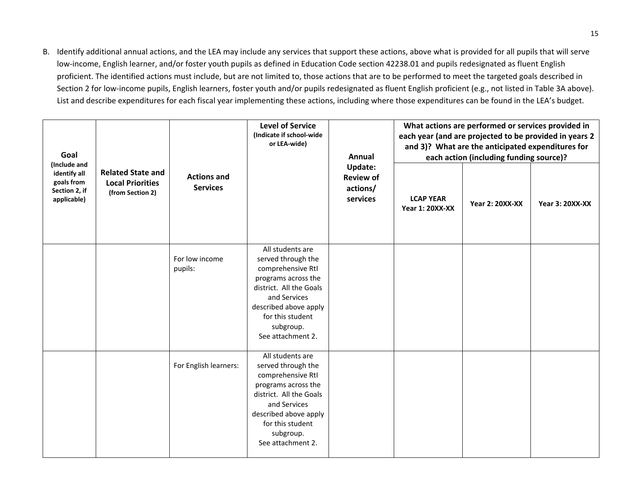B. Identify additional annual actions, and the LEA may include any services that support these actions, above what is provided for all pupils that will serve low-income, English learner, and/or foster youth pupils as defined in Education Code section 42238.01 and pupils redesignated as fluent English proficient. The identified actions must include, but are not limited to, those actions that are to be performed to meet the targeted goals described in Section 2 for low‐income pupils, English learners, foster youth and/or pupils redesignated as fluent English proficient (e.g., not listed in Table 3A above). List and describe expenditures for each fiscal year implementing these actions, including where those expenditures can be found in the LEA's budget.

| Goal<br>(Include and                                       |                                                                         |                                       | <b>Level of Service</b><br>(Indicate if school-wide<br>or LEA-wide)                                                                                                                                          | Annual<br>Update:<br><b>Review of</b><br>actions/<br>services | What actions are performed or services provided in<br>each year (and are projected to be provided in years 2<br>and 3)? What are the anticipated expenditures for<br>each action (including funding source)? |                        |                        |  |
|------------------------------------------------------------|-------------------------------------------------------------------------|---------------------------------------|--------------------------------------------------------------------------------------------------------------------------------------------------------------------------------------------------------------|---------------------------------------------------------------|--------------------------------------------------------------------------------------------------------------------------------------------------------------------------------------------------------------|------------------------|------------------------|--|
| identify all<br>goals from<br>Section 2, if<br>applicable) | <b>Related State and</b><br><b>Local Priorities</b><br>(from Section 2) | <b>Actions and</b><br><b>Services</b> |                                                                                                                                                                                                              |                                                               | <b>LCAP YEAR</b><br><b>Year 1: 20XX-XX</b>                                                                                                                                                                   | <b>Year 2: 20XX-XX</b> | <b>Year 3: 20XX-XX</b> |  |
|                                                            |                                                                         | For low income<br>pupils:             | All students are<br>served through the<br>comprehensive RtI<br>programs across the<br>district. All the Goals<br>and Services<br>described above apply<br>for this student<br>subgroup.<br>See attachment 2. |                                                               |                                                                                                                                                                                                              |                        |                        |  |
|                                                            |                                                                         | For English learners:                 | All students are<br>served through the<br>comprehensive RtI<br>programs across the<br>district. All the Goals<br>and Services<br>described above apply<br>for this student<br>subgroup.<br>See attachment 2. |                                                               |                                                                                                                                                                                                              |                        |                        |  |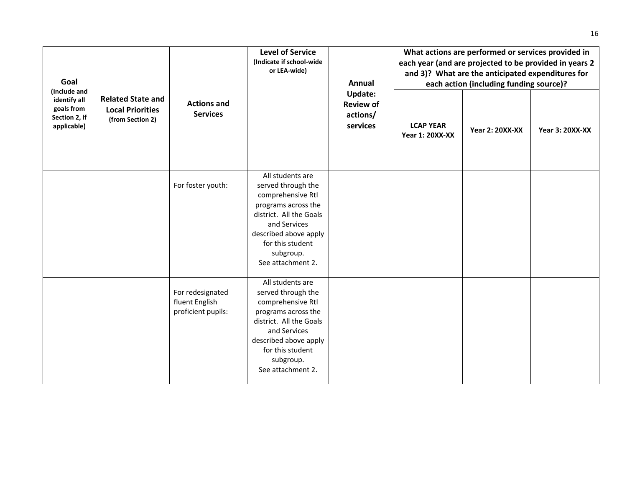| Goal                                                                       |                                                                         |                                                          | <b>Level of Service</b><br>(Indicate if school-wide<br>or LEA-wide)                                                                                                                                          | <b>Annual</b><br>Update:<br><b>Review of</b><br>actions/<br>services | What actions are performed or services provided in<br>each year (and are projected to be provided in years 2<br>and 3)? What are the anticipated expenditures for<br>each action (including funding source)? |                        |                        |  |
|----------------------------------------------------------------------------|-------------------------------------------------------------------------|----------------------------------------------------------|--------------------------------------------------------------------------------------------------------------------------------------------------------------------------------------------------------------|----------------------------------------------------------------------|--------------------------------------------------------------------------------------------------------------------------------------------------------------------------------------------------------------|------------------------|------------------------|--|
| (Include and<br>identify all<br>goals from<br>Section 2, if<br>applicable) | <b>Related State and</b><br><b>Local Priorities</b><br>(from Section 2) | <b>Actions and</b><br><b>Services</b>                    |                                                                                                                                                                                                              |                                                                      | <b>LCAP YEAR</b><br><b>Year 1: 20XX-XX</b>                                                                                                                                                                   | <b>Year 2: 20XX-XX</b> | <b>Year 3: 20XX-XX</b> |  |
|                                                                            |                                                                         | For foster youth:                                        | All students are<br>served through the<br>comprehensive RtI<br>programs across the<br>district. All the Goals<br>and Services<br>described above apply<br>for this student<br>subgroup.<br>See attachment 2. |                                                                      |                                                                                                                                                                                                              |                        |                        |  |
|                                                                            |                                                                         | For redesignated<br>fluent English<br>proficient pupils: | All students are<br>served through the<br>comprehensive RtI<br>programs across the<br>district. All the Goals<br>and Services<br>described above apply<br>for this student<br>subgroup.<br>See attachment 2. |                                                                      |                                                                                                                                                                                                              |                        |                        |  |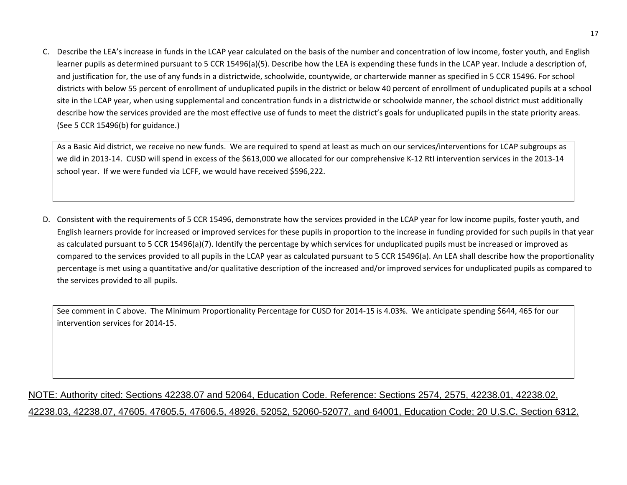C. Describe the LEA's increase in funds in the LCAP year calculated on the basis of the number and concentration of low income, foster youth, and English learner pupils as determined pursuant to 5 CCR 15496(a)(5). Describe how the LEA is expending these funds in the LCAP year. Include <sup>a</sup> description of, and justification for, the use of any funds in <sup>a</sup> districtwide, schoolwide, countywide, or charterwide manner as specified in 5 CCR 15496. For school districts with below 55 percent of enrollment of unduplicated pupils in the district or below 40 percent of enrollment of unduplicated pupils at <sup>a</sup> school site in the LCAP year, when using supplemental and concentration funds in <sup>a</sup> districtwide or schoolwide manner, the school district must additionally describe how the services provided are the most effective use of funds to meet the district's goals for unduplicated pupils in the state priority areas. (See 5 CCR 15496(b) for guidance.)

As a Basic Aid district, we receive no new funds. We are required to spend at least as much on our services/interventions for LCAP subgroups as we did in 2013‐14. CUSD will spend in excess of the \$613,000 we allocated for our comprehensive <sup>K</sup>‐<sup>12</sup> RtI intervention services in the 2013‐<sup>14</sup> school year. If we were funded via LCFF, we would have received \$596,222.

D. Consistent with the requirements of 5 CCR 15496, demonstrate how the services provided in the LCAP year for low income pupils, foster youth, and English learners provide for increased or improved services for these pupils in proportion to the increase in funding provided for such pupils in that year as calculated pursuant to 5 CCR 15496(a)(7). Identify the percentage by which services for unduplicated pupils must be increased or improved as compared to the services provided to all pupils in the LCAP year as calculated pursuant to 5 CCR 15496(a). An LEA shall describe how the proportionality percentage is met using <sup>a</sup> quantitative and/or qualitative description of the increased and/or improved services for unduplicated pupils as compared to the services provided to all pupils.

See comment in C above. The Minimum Proportionality Percentage for CUSD for 2014‐<sup>15</sup> is 4.03%. We anticipate spending \$644, 465 for our intervention services for 2014‐15.

# NOTE: Authority cited: Sections 42238.07 and 52064, Education Code. Reference: Sections 2574, 2575, 42238.01, 42238.02, 42238.03, 42238.07, 47605, 47605.5, 47606.5, 48926, 52052, 52060-52077, and 64001, Education Code; 20 U.S.C. Section 6312.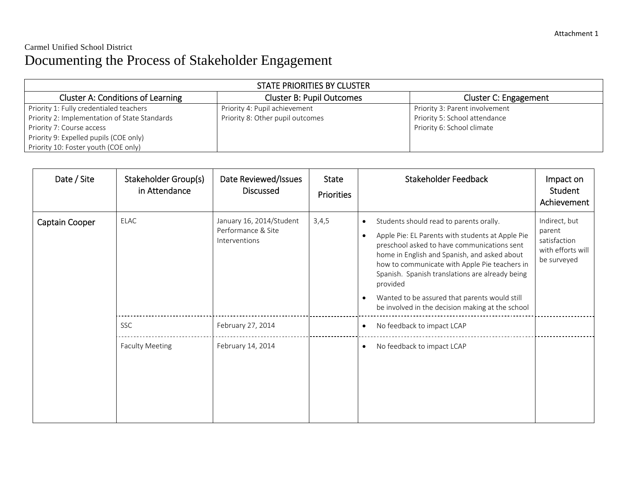# Carmel Unified School District Documenting the Process of Stakeholder Engagement

| STATE PRIORITIES BY CLUSTER                   |                                  |                                |  |  |  |  |
|-----------------------------------------------|----------------------------------|--------------------------------|--|--|--|--|
| <b>Cluster A: Conditions of Learning</b>      | <b>Cluster B: Pupil Outcomes</b> | Cluster C: Engagement          |  |  |  |  |
| Priority 1: Fully credentialed teachers       | Priority 4: Pupil achievement    | Priority 3: Parent involvement |  |  |  |  |
| Priority 2: Implementation of State Standards | Priority 8: Other pupil outcomes | Priority 5: School attendance  |  |  |  |  |
| Priority 7: Course access                     |                                  | Priority 6: School climate     |  |  |  |  |
| Priority 9: Expelled pupils (COE only)        |                                  |                                |  |  |  |  |
| Priority 10: Foster youth (COE only)          |                                  |                                |  |  |  |  |

| Date / Site    | Stakeholder Group(s)<br>in Attendance | Date Reviewed/Issues<br><b>Discussed</b>                        | <b>State</b><br><b>Priorities</b> | <b>Stakeholder Feedback</b>                                                                                                                                                                                                                                                                                                                                                                                                                            | Impact on<br>Student<br>Achievement                                         |
|----------------|---------------------------------------|-----------------------------------------------------------------|-----------------------------------|--------------------------------------------------------------------------------------------------------------------------------------------------------------------------------------------------------------------------------------------------------------------------------------------------------------------------------------------------------------------------------------------------------------------------------------------------------|-----------------------------------------------------------------------------|
| Captain Cooper | <b>ELAC</b>                           | January 16, 2014/Student<br>Performance & Site<br>Interventions | 3,4,5                             | Students should read to parents orally.<br>$\bullet$<br>Apple Pie: EL Parents with students at Apple Pie<br>$\bullet$<br>preschool asked to have communications sent<br>home in English and Spanish, and asked about<br>how to communicate with Apple Pie teachers in<br>Spanish. Spanish translations are already being<br>provided<br>Wanted to be assured that parents would still<br>$\bullet$<br>be involved in the decision making at the school | Indirect, but<br>parent<br>satisfaction<br>with efforts will<br>be surveyed |
|                | <b>SSC</b>                            | February 27, 2014                                               |                                   | No feedback to impact LCAP<br>$\bullet$                                                                                                                                                                                                                                                                                                                                                                                                                |                                                                             |
|                | <b>Faculty Meeting</b>                | February 14, 2014                                               |                                   | No feedback to impact LCAP<br>$\bullet$                                                                                                                                                                                                                                                                                                                                                                                                                |                                                                             |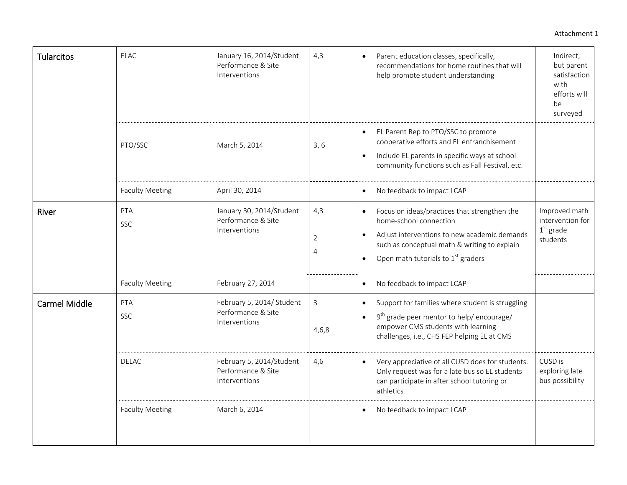#### Attachment 1

| <b>Tularcitos</b>    | <b>ELAC</b>            | January 16, 2014/Student<br>Performance & Site<br>Interventions  | 4,3           | Parent education classes, specifically,<br>recommendations for home routines that will<br>help promote student understanding                                                                                   | Indirect,<br>but parent<br>satisfaction<br>with<br>efforts will<br>be<br>surveyed |
|----------------------|------------------------|------------------------------------------------------------------|---------------|----------------------------------------------------------------------------------------------------------------------------------------------------------------------------------------------------------------|-----------------------------------------------------------------------------------|
|                      | PTO/SSC                | March 5, 2014                                                    | 3, 6          | EL Parent Rep to PTO/SSC to promote<br>cooperative efforts and EL enfranchisement<br>Include EL parents in specific ways at school<br>$\bullet$<br>community functions such as Fall Festival, etc.             |                                                                                   |
|                      | <b>Faculty Meeting</b> | April 30, 2014                                                   |               | No feedback to impact LCAP                                                                                                                                                                                     |                                                                                   |
| River                | PTA<br><b>SSC</b>      | January 30, 2014/Student<br>Performance & Site<br>Interventions  | 4,3<br>2<br>4 | Focus on ideas/practices that strengthen the<br>home-school connection<br>Adjust interventions to new academic demands<br>such as conceptual math & writing to explain<br>Open math tutorials to $1st$ graders | Improved math<br>intervention for<br>$1st$ grade<br>students                      |
|                      | <b>Faculty Meeting</b> | February 27, 2014                                                |               | No feedback to impact LCAP<br>$\bullet$                                                                                                                                                                        |                                                                                   |
| <b>Carmel Middle</b> | PTA<br><b>SSC</b>      | February 5, 2014/ Student<br>Performance & Site<br>Interventions | 3<br>4,6,8    | Support for families where student is struggling<br>$9th$ grade peer mentor to help/ encourage/<br>$\bullet$<br>empower CMS students with learning<br>challenges, i.e., CHS FEP helping EL at CMS              |                                                                                   |
|                      | <b>DELAC</b>           | February 5, 2014/Student<br>Performance & Site<br>Interventions  | 4,6           | Very appreciative of all CUSD does for students.<br>Only request was for a late bus so EL students<br>can participate in after school tutoring or<br>athletics                                                 | CUSD is<br>exploring late<br>bus possibility                                      |
|                      | <b>Faculty Meeting</b> | March 6, 2014                                                    |               | No feedback to impact LCAP                                                                                                                                                                                     |                                                                                   |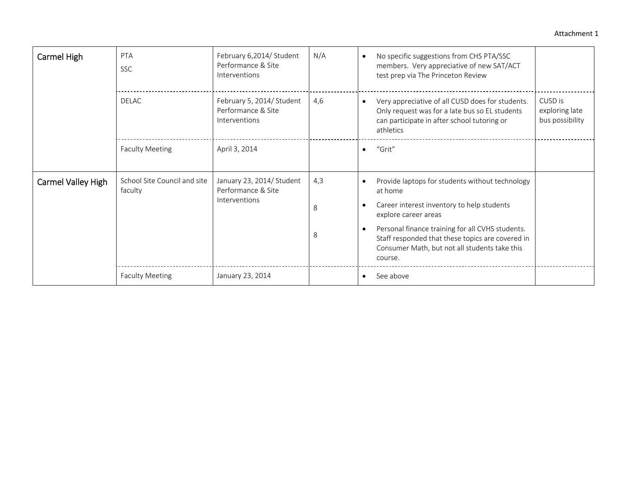#### Attachment 1

| Carmel High        | <b>PTA</b><br><b>SSC</b>                | February 6,2014/ Student<br>Performance & Site<br>Interventions  | N/A           | No specific suggestions from CHS PTA/SSC<br>members. Very appreciative of new SAT/ACT<br>test prep via The Princeton Review                                                                                                                                                                          |
|--------------------|-----------------------------------------|------------------------------------------------------------------|---------------|------------------------------------------------------------------------------------------------------------------------------------------------------------------------------------------------------------------------------------------------------------------------------------------------------|
|                    | <b>DELAC</b>                            | February 5, 2014/ Student<br>Performance & Site<br>Interventions | 4,6           | CUSD is<br>Very appreciative of all CUSD does for students.<br>Only request was for a late bus so EL students<br>exploring late<br>bus possibility<br>can participate in after school tutoring or<br>athletics                                                                                       |
|                    | <b>Faculty Meeting</b>                  | April 3, 2014                                                    |               | "Grit"<br>$\bullet$                                                                                                                                                                                                                                                                                  |
| Carmel Valley High | School Site Council and site<br>faculty | January 23, 2014/ Student<br>Performance & Site<br>Interventions | 4,3<br>8<br>8 | Provide laptops for students without technology<br>at home<br>Career interest inventory to help students<br>explore career areas<br>Personal finance training for all CVHS students.<br>Staff responded that these topics are covered in<br>Consumer Math, but not all students take this<br>course. |
|                    | <b>Faculty Meeting</b>                  | January 23, 2014                                                 |               | See above                                                                                                                                                                                                                                                                                            |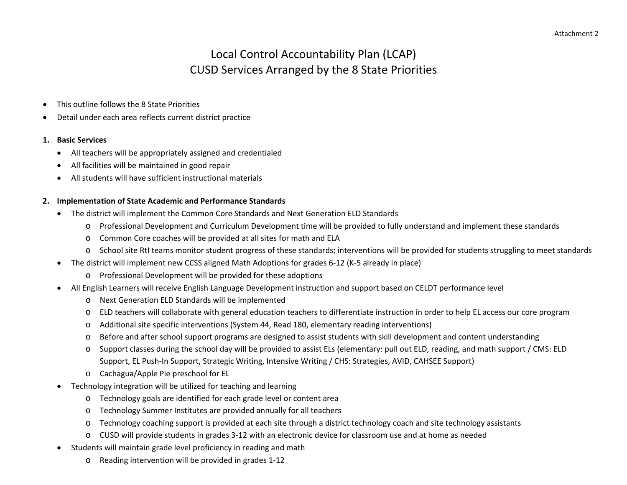# Local Control Accountability Plan (LCAP) CUSD Services Arranged by the 8 State Priorities

- 0 This outline follows the 8 State Priorities
- 0 Detail under each area reflects current district practice

#### **1. Basic Services**

- All teachers will be appropriately assigned and credentialed
- 0 All facilities will be maintained in good repair
- $\bullet$ All students will have sufficient instructional materials

#### **2. Implementation of State Academic and Performance Standards**

- $\bullet$  The district will implement the Common Core Standards and Next Generation ELD Standards
	- o Professional Development and Curriculum Development time will be provided to fully understand and implement these standards
	- o Common Core coaches will be provided at all sites for math and ELA
	- oSchool site RtI teams monitor student progress of these standards; interventions will be provided for students struggling to meet standards
- The district will implement new CCSS aligned Math Adoptions for grades 6‐12 (K‐5 already in place)
	- o Professional Development will be provided for these adoptions
- All English Learners will receive English Language Development instruction and support based on CELDT performance level
	- o Next Generation ELD Standards will be implemented
	- oELD teachers will collaborate with general education teachers to differentiate instruction in order to help EL access our core program
	- oAdditional site specific interventions (System 44, Read 180, elementary reading interventions)
	- oBefore and after school support programs are designed to assist students with skill development and content understanding
	- o Support classes during the school day will be provided to assist ELs (elementary: pull out ELD, reading, and math support / CMS: ELD Support, EL Push‐In Support, Strategic Writing, Intensive Writing / CHS: Strategies, AVID, CAHSEE Support)
	- o Cachagua/Apple Pie preschool for EL
- Technology integration will be utilized for teaching and learning
	- oTechnology goals are identified for each grade level or content area
	- oTechnology Summer Institutes are provided annually for all teachers
	- oTechnology coaching support is provided at each site through <sup>a</sup> district technology coach and site technology assistants
	- o CUSD will provide students in grades 3‐12 with an electronic device for classroom use and at home as needed
- 0 • Students will maintain grade level proficiency in reading and math
	- o Reading intervention will be provided in grades 1‐12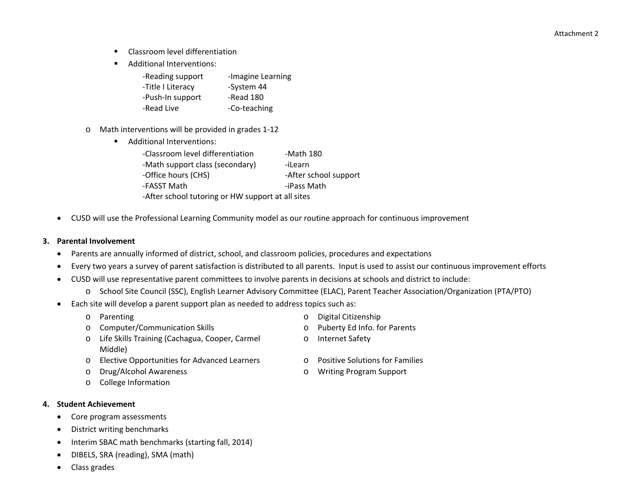Attachment 2

- $\blacksquare$ Classroom level differentiation
- $\blacksquare$ Additional Interventions:

| -Reading support  | -Imagine Learning |
|-------------------|-------------------|
| -Title I Literacy | -System 44        |
| -Push-In support  | -Read 180         |
| -Read Live        | -Co-teaching      |

- o Math interventions will be provided in grades 1‐12
	- Additional Interventions:

| -Classroom level differentiation                  | -Math 180             |  |  |  |
|---------------------------------------------------|-----------------------|--|--|--|
| -Math support class (secondary)                   | -iLearn               |  |  |  |
| -Office hours (CHS)                               | -After school support |  |  |  |
| -FASST Math                                       | -iPass Math           |  |  |  |
| -After school tutoring or HW support at all sites |                       |  |  |  |

CUSD will use the Professional Learning Community model as our routine approach for continuous improvement

#### **3. Parental Involvement**

- 0 Parents are annually informed of district, school, and classroom policies, procedures and expectations
- $\bullet$ Every two years <sup>a</sup> survey of parent satisfaction is distributed to all parents. Input is used to assist our continuous improvement efforts
- $\bullet$  CUSD will use representative parent committees to involve parents in decisions at schools and district to include:
	- o School Site Council (SSC), English Learner Advisory Committee (ELAC), Parent Teacher Association/Organization (PTA/PTO)
- $\bullet$  Each site will develop <sup>a</sup> parent support plan as needed to address topics such as:
	- o Parenting
	- oComputer/Communication Skills **Computer/Communication Skills o** Puberty Ed Info. for Parents
	- o Life Skills Training (Cachagua, Cooper, Carmel Middle)
	- o Elective Opportunities for Advanced Learners <sup>o</sup> Positive Solutions for Families
	- o
	- o College Information
- **4. Student Achievement**
	- e • Core program assessments
	- 0 District writing benchmarks
	- 0 • Interim SBAC math benchmarks (starting fall, 2014)
	- 0 DIBELS, SRA (reading), SMA (math)
	- 0 Class grades
- o Digital Citizenship
	-
- oInternet Safety
- 
- Drug/Alcohol Awareness <sup>o</sup> Writing Program Support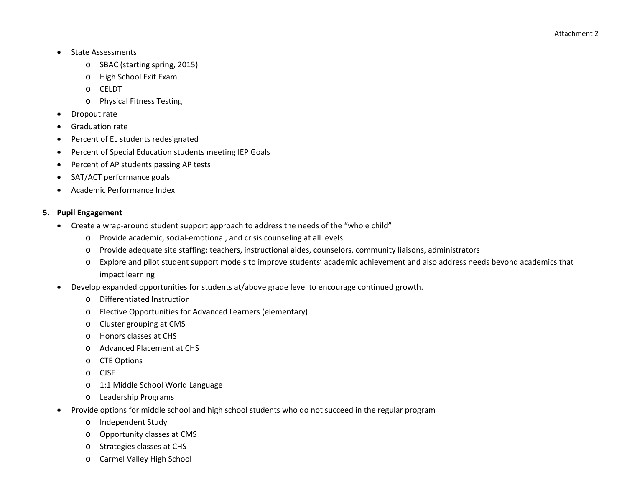- $\bullet$ • State Assessments
	- o SBAC (starting spring, 2015)
	- o High School Exit Exam
	- o CELDT
	- o Physical Fitness Testing
- $\bullet$ Dropout rate
- $\bullet$ **•** Graduation rate
- $\bullet$ Percent of EL students redesignated
- ٠ Percent of Special Education students meeting IEP Goals
- 0 • Percent of AP students passing AP tests
- 0 SAT/ACT performance goals
- c Academic Performance Index

### **5. Pupil Engagement**

- Create a wrap-around student support approach to address the needs of the "whole child"
	- o Provide academic, social‐emotional, and crisis counseling at all levels
	- oProvide adequate site staffing: teachers, instructional aides, counselors, community liaisons, administrators
	- o Explore and pilot student support models to improve students' academic achievement and also address needs beyond academics that impact learning
- 0 Develop expanded opportunities for students at/above grade level to encourage continued growth.
	- o Differentiated Instruction
	- oElective Opportunities for Advanced Learners (elementary)
	- oCluster grouping at CMS
	- oHonors classes at CHS
	- oAdvanced Placement at CHS
	- oCTE Options
	- oCJSF
	- o1:1 Middle School World Language
	- o Leadership Programs
- c • Provide options for middle school and high school students who do not succeed in the regular program
	- oIndependent Study
	- oOpportunity classes at CMS
	- oStrategies classes at CHS
	- oCarmel Valley High School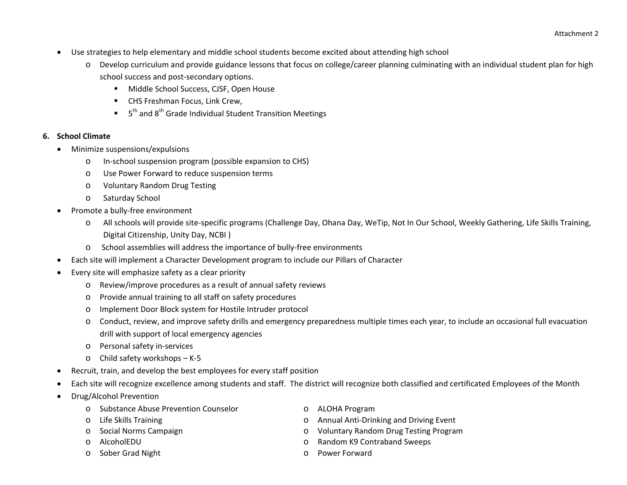- $\bullet$  Use strategies to help elementary and middle school students become excited about attending high school
	- o Develop curriculum and provide guidance lessons that focus on college/career planning culminating with an individual student plan for high school success and post‐secondary options.
		- Middle School Success, CJSF, Open House
		- CHS Freshman Focus, Link Crew,
		- $\blacksquare$  5<sup>th</sup> and 8<sup>th</sup> Grade Individual Student Transition Meetings

### **6. School Climate**

- 0 Minimize suspensions/expulsions
	- oIn‐school suspension program (possible expansion to CHS)
	- oUse Power Forward to reduce suspension terms
	- oVoluntary Random Drug Testing
	- oSaturday School
- $\bullet$ ● Promote a bully-free environment
	- o All schools will provide site‐specific programs (Challenge Day, Ohana Day, WeTip, Not In Our School, Weekly Gathering, Life Skills Training, Digital Citizenship, Unity Day, NCBI )
	- oSchool assemblies will address the importance of bully‐free environments
- $\bullet$ Each site will implement <sup>a</sup> Character Development program to include our Pillars of Character
- 0 Every site will emphasize safety as <sup>a</sup> clear priority
	- o Review/improve procedures as <sup>a</sup> result of annual safety reviews
	- oProvide annual training to all staff on safety procedures
	- oImplement Door Block system for Hostile Intruder protocol
	- o Conduct, review, and improve safety drills and emergency preparedness multiple times each year, to include an occasional full evacuation drill with support of local emergency agencies
	- o Personal safety in‐services
	- o Child safety workshops K‐5
- 0 Recruit, train, and develop the best employees for every staff position
- 0 Each site will recognize excellence among students and staff. The district will recognize both classified and certificated Employees of the Month
- c Drug/Alcohol Prevention
	- o Substance Abuse Prevention Counselor <sup>o</sup> ALOHA Program
	- o Life Skills Training
	- o Social Norms Campaign
	- oAlcoholEDU
	- o
- 
- o Annual Anti-Drinking and Driving Event
- o Voluntary Random Drug Testing Program
- <sup>o</sup> Random K9 Contraband Sweeps
- Sober Grad Night **Communist Communist Communist Communist Communist Communist Communist Communist Communist Communist Communist Communist Communist Communist Communist Communist Communist Communist Communist Communist Comm**